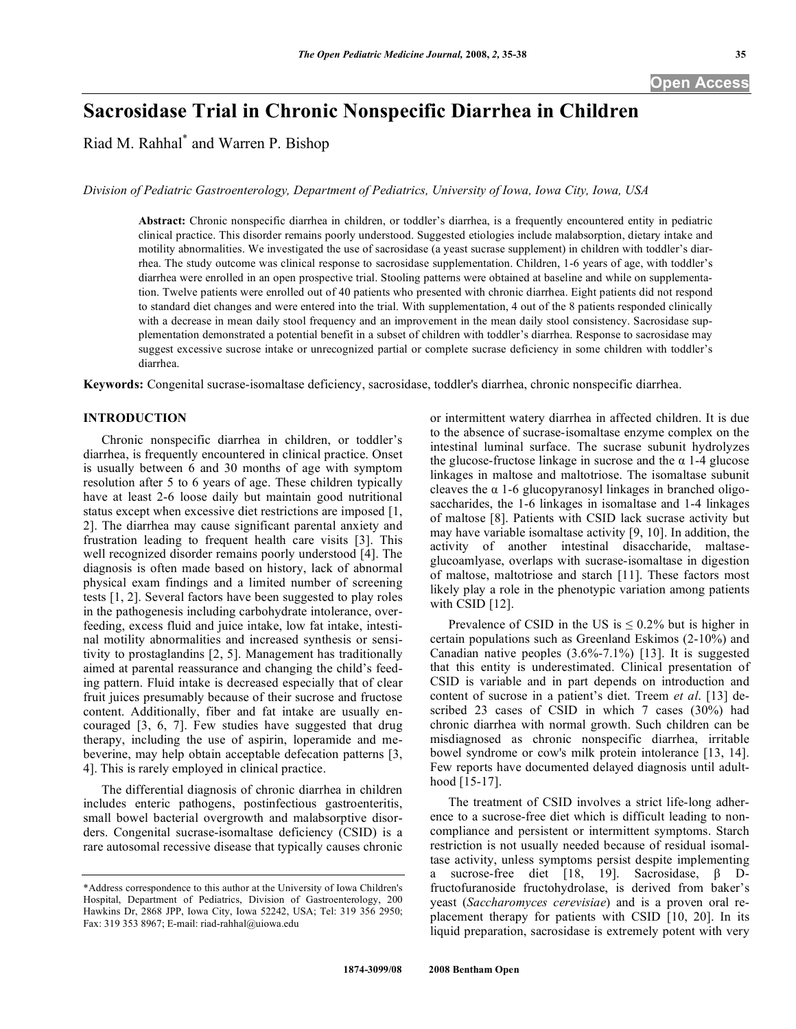# **Sacrosidase Trial in Chronic Nonspecific Diarrhea in Children**

Riad M. Rahhal\* and Warren P. Bishop

*Division of Pediatric Gastroenterology, Department of Pediatrics, University of Iowa, Iowa City, Iowa, USA* 

**Abstract:** Chronic nonspecific diarrhea in children, or toddler's diarrhea, is a frequently encountered entity in pediatric clinical practice. This disorder remains poorly understood. Suggested etiologies include malabsorption, dietary intake and motility abnormalities. We investigated the use of sacrosidase (a yeast sucrase supplement) in children with toddler's diarrhea. The study outcome was clinical response to sacrosidase supplementation. Children, 1-6 years of age, with toddler's diarrhea were enrolled in an open prospective trial. Stooling patterns were obtained at baseline and while on supplementation. Twelve patients were enrolled out of 40 patients who presented with chronic diarrhea. Eight patients did not respond to standard diet changes and were entered into the trial. With supplementation, 4 out of the 8 patients responded clinically with a decrease in mean daily stool frequency and an improvement in the mean daily stool consistency. Sacrosidase supplementation demonstrated a potential benefit in a subset of children with toddler's diarrhea. Response to sacrosidase may suggest excessive sucrose intake or unrecognized partial or complete sucrase deficiency in some children with toddler's diarrhea.

**Keywords:** Congenital sucrase-isomaltase deficiency, sacrosidase, toddler's diarrhea, chronic nonspecific diarrhea.

## **INTRODUCTION**

 Chronic nonspecific diarrhea in children, or toddler's diarrhea, is frequently encountered in clinical practice. Onset is usually between 6 and 30 months of age with symptom resolution after 5 to 6 years of age. These children typically have at least 2-6 loose daily but maintain good nutritional status except when excessive diet restrictions are imposed [1, 2]. The diarrhea may cause significant parental anxiety and frustration leading to frequent health care visits [3]. This well recognized disorder remains poorly understood [4]. The diagnosis is often made based on history, lack of abnormal physical exam findings and a limited number of screening tests [1, 2]. Several factors have been suggested to play roles in the pathogenesis including carbohydrate intolerance, overfeeding, excess fluid and juice intake, low fat intake, intestinal motility abnormalities and increased synthesis or sensitivity to prostaglandins [2, 5]. Management has traditionally aimed at parental reassurance and changing the child's feeding pattern. Fluid intake is decreased especially that of clear fruit juices presumably because of their sucrose and fructose content. Additionally, fiber and fat intake are usually encouraged [3, 6, 7]. Few studies have suggested that drug therapy, including the use of aspirin, loperamide and mebeverine, may help obtain acceptable defecation patterns [3, 4]. This is rarely employed in clinical practice.

 The differential diagnosis of chronic diarrhea in children includes enteric pathogens, postinfectious gastroenteritis, small bowel bacterial overgrowth and malabsorptive disorders. Congenital sucrase-isomaltase deficiency (CSID) is a rare autosomal recessive disease that typically causes chronic

or intermittent watery diarrhea in affected children. It is due to the absence of sucrase-isomaltase enzyme complex on the intestinal luminal surface. The sucrase subunit hydrolyzes the glucose-fructose linkage in sucrose and the  $\alpha$  1-4 glucose linkages in maltose and maltotriose. The isomaltase subunit cleaves the  $\alpha$  1-6 glucopyranosyl linkages in branched oligosaccharides, the 1-6 linkages in isomaltase and 1-4 linkages of maltose [8]. Patients with CSID lack sucrase activity but may have variable isomaltase activity [9, 10]. In addition, the activity of another intestinal disaccharide, maltaseglucoamlyase, overlaps with sucrase-isomaltase in digestion of maltose, maltotriose and starch [11]. These factors most likely play a role in the phenotypic variation among patients with CSID [12].

Prevalence of CSID in the US is  $\leq 0.2\%$  but is higher in certain populations such as Greenland Eskimos (2-10%) and Canadian native peoples (3.6%-7.1%) [13]. It is suggested that this entity is underestimated. Clinical presentation of CSID is variable and in part depends on introduction and content of sucrose in a patient's diet. Treem *et al*. [13] described 23 cases of CSID in which 7 cases (30%) had chronic diarrhea with normal growth. Such children can be misdiagnosed as chronic nonspecific diarrhea, irritable bowel syndrome or cow's milk protein intolerance [13, 14]. Few reports have documented delayed diagnosis until adulthood [15-17].

 The treatment of CSID involves a strict life-long adherence to a sucrose-free diet which is difficult leading to noncompliance and persistent or intermittent symptoms. Starch restriction is not usually needed because of residual isomaltase activity, unless symptoms persist despite implementing a sucrose-free diet [18, 19]. Sacrosidase, Dfructofuranoside fructohydrolase, is derived from baker's yeast (*Saccharomyces cerevisiae*) and is a proven oral replacement therapy for patients with CSID [10, 20]. In its liquid preparation, sacrosidase is extremely potent with very

<sup>\*</sup>Address correspondence to this author at the University of Iowa Children's Hospital, Department of Pediatrics, Division of Gastroenterology, 200 Hawkins Dr, 2868 JPP, Iowa City, Iowa 52242, USA; Tel: 319 356 2950; Fax: 319 353 8967; E-mail: riad-rahhal@uiowa.edu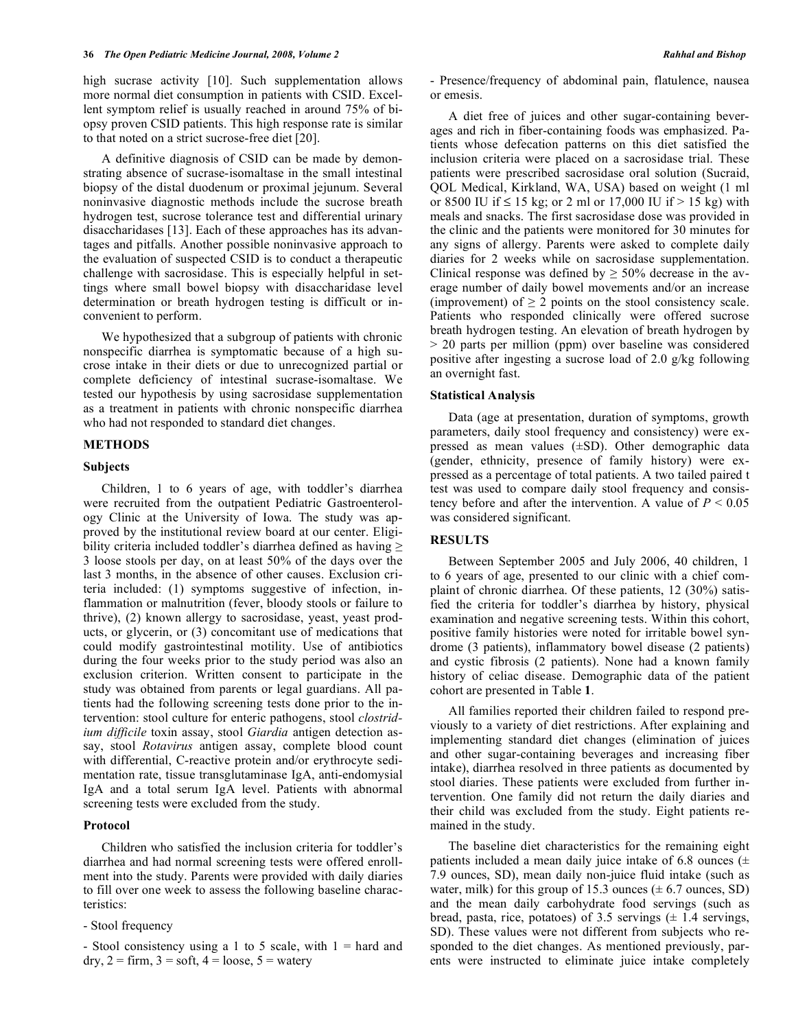high sucrase activity [10]. Such supplementation allows more normal diet consumption in patients with CSID. Excellent symptom relief is usually reached in around 75% of biopsy proven CSID patients. This high response rate is similar to that noted on a strict sucrose-free diet [20].

 A definitive diagnosis of CSID can be made by demonstrating absence of sucrase-isomaltase in the small intestinal biopsy of the distal duodenum or proximal jejunum. Several noninvasive diagnostic methods include the sucrose breath hydrogen test, sucrose tolerance test and differential urinary disaccharidases [13]. Each of these approaches has its advantages and pitfalls. Another possible noninvasive approach to the evaluation of suspected CSID is to conduct a therapeutic challenge with sacrosidase. This is especially helpful in settings where small bowel biopsy with disaccharidase level determination or breath hydrogen testing is difficult or inconvenient to perform.

 We hypothesized that a subgroup of patients with chronic nonspecific diarrhea is symptomatic because of a high sucrose intake in their diets or due to unrecognized partial or complete deficiency of intestinal sucrase-isomaltase. We tested our hypothesis by using sacrosidase supplementation as a treatment in patients with chronic nonspecific diarrhea who had not responded to standard diet changes.

#### **METHODS**

## **Subjects**

 Children, 1 to 6 years of age, with toddler's diarrhea were recruited from the outpatient Pediatric Gastroenterology Clinic at the University of Iowa. The study was approved by the institutional review board at our center. Eligibility criteria included toddler's diarrhea defined as having  $\geq$ 3 loose stools per day, on at least 50% of the days over the last 3 months, in the absence of other causes. Exclusion criteria included: (1) symptoms suggestive of infection, inflammation or malnutrition (fever, bloody stools or failure to thrive), (2) known allergy to sacrosidase, yeast, yeast products, or glycerin, or (3) concomitant use of medications that could modify gastrointestinal motility. Use of antibiotics during the four weeks prior to the study period was also an exclusion criterion. Written consent to participate in the study was obtained from parents or legal guardians. All patients had the following screening tests done prior to the intervention: stool culture for enteric pathogens, stool *clostridium difficile* toxin assay, stool *Giardia* antigen detection assay, stool *Rotavirus* antigen assay, complete blood count with differential, C-reactive protein and/or erythrocyte sedimentation rate, tissue transglutaminase IgA, anti-endomysial IgA and a total serum IgA level. Patients with abnormal screening tests were excluded from the study.

#### **Protocol**

 Children who satisfied the inclusion criteria for toddler's diarrhea and had normal screening tests were offered enrollment into the study. Parents were provided with daily diaries to fill over one week to assess the following baseline characteristics:

- Stool frequency

- Stool consistency using a 1 to 5 scale, with  $1 =$  hard and  $\text{dry}, 2 = \text{firm}, 3 = \text{soft}, 4 = \text{loose}, 5 = \text{watery}$ 

- Presence/frequency of abdominal pain, flatulence, nausea or emesis.

 A diet free of juices and other sugar-containing beverages and rich in fiber-containing foods was emphasized. Patients whose defecation patterns on this diet satisfied the inclusion criteria were placed on a sacrosidase trial. These patients were prescribed sacrosidase oral solution (Sucraid, QOL Medical, Kirkland, WA, USA) based on weight (1 ml or 8500 IU if  $\leq 15$  kg; or 2 ml or 17,000 IU if  $> 15$  kg) with meals and snacks. The first sacrosidase dose was provided in the clinic and the patients were monitored for 30 minutes for any signs of allergy. Parents were asked to complete daily diaries for 2 weeks while on sacrosidase supplementation. Clinical response was defined by  $\geq 50\%$  decrease in the average number of daily bowel movements and/or an increase (improvement) of  $\geq 2$  points on the stool consistency scale. Patients who responded clinically were offered sucrose breath hydrogen testing. An elevation of breath hydrogen by > 20 parts per million (ppm) over baseline was considered positive after ingesting a sucrose load of 2.0 g/kg following an overnight fast.

## **Statistical Analysis**

 Data (age at presentation, duration of symptoms, growth parameters, daily stool frequency and consistency) were expressed as mean values (±SD). Other demographic data (gender, ethnicity, presence of family history) were expressed as a percentage of total patients. A two tailed paired t test was used to compare daily stool frequency and consistency before and after the intervention. A value of  $P < 0.05$ was considered significant.

# **RESULTS**

 Between September 2005 and July 2006, 40 children, 1 to 6 years of age, presented to our clinic with a chief complaint of chronic diarrhea. Of these patients, 12 (30%) satisfied the criteria for toddler's diarrhea by history, physical examination and negative screening tests. Within this cohort, positive family histories were noted for irritable bowel syndrome (3 patients), inflammatory bowel disease (2 patients) and cystic fibrosis (2 patients). None had a known family history of celiac disease. Demographic data of the patient cohort are presented in Table **1**.

 All families reported their children failed to respond previously to a variety of diet restrictions. After explaining and implementing standard diet changes (elimination of juices and other sugar-containing beverages and increasing fiber intake), diarrhea resolved in three patients as documented by stool diaries. These patients were excluded from further intervention. One family did not return the daily diaries and their child was excluded from the study. Eight patients remained in the study.

 The baseline diet characteristics for the remaining eight patients included a mean daily juice intake of 6.8 ounces  $(±$ 7.9 ounces, SD), mean daily non-juice fluid intake (such as water, milk) for this group of 15.3 ounces  $(\pm 6.7 \text{ ounces}, SD)$ and the mean daily carbohydrate food servings (such as bread, pasta, rice, potatoes) of 3.5 servings  $(± 1.4$  servings, SD). These values were not different from subjects who responded to the diet changes. As mentioned previously, parents were instructed to eliminate juice intake completely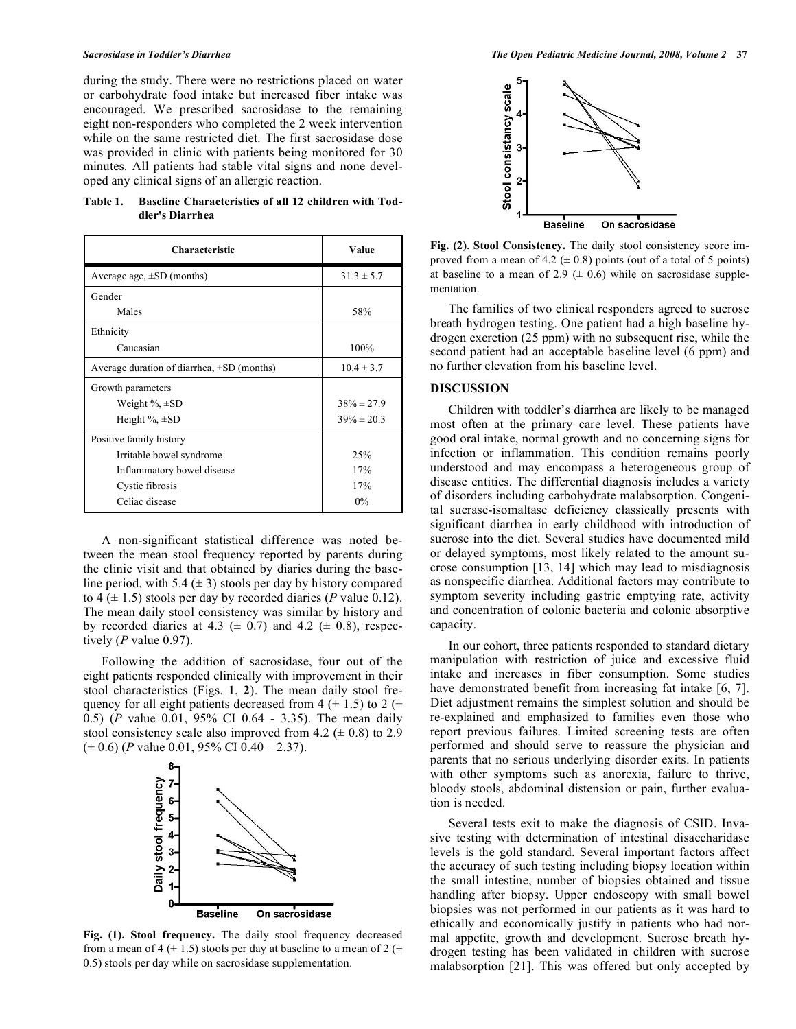during the study. There were no restrictions placed on water or carbohydrate food intake but increased fiber intake was encouraged. We prescribed sacrosidase to the remaining eight non-responders who completed the 2 week intervention while on the same restricted diet. The first sacrosidase dose was provided in clinic with patients being monitored for 30 minutes. All patients had stable vital signs and none developed any clinical signs of an allergic reaction.

**Table 1. Baseline Characteristics of all 12 children with Toddler's Diarrhea** 

| <b>Characteristic</b>                           | Value           |
|-------------------------------------------------|-----------------|
| Average age, $\pm SD$ (months)                  | $31.3 \pm 5.7$  |
| Gender                                          |                 |
| Males                                           | 58%             |
| Ethnicity                                       |                 |
| Caucasian                                       | 100%            |
| Average duration of diarrhea, $\pm SD$ (months) | $10.4 \pm 3.7$  |
| Growth parameters                               |                 |
| Weight $\%$ , $\pm$ SD                          | $38\% \pm 27.9$ |
| Height $\%$ , $\pm$ SD                          | $39\% \pm 20.3$ |
| Positive family history                         |                 |
| Irritable bowel syndrome                        | 25%             |
| Inflammatory bowel disease                      | 17%             |
| Cystic fibrosis                                 | 17%             |
| Celiac disease                                  | $0\%$           |

 A non-significant statistical difference was noted between the mean stool frequency reported by parents during the clinic visit and that obtained by diaries during the baseline period, with 5.4  $(\pm 3)$  stools per day by history compared to 4  $(\pm 1.5)$  stools per day by recorded diaries (*P* value 0.12). The mean daily stool consistency was similar by history and by recorded diaries at 4.3 ( $\pm$  0.7) and 4.2 ( $\pm$  0.8), respectively (*P* value 0.97).

 Following the addition of sacrosidase, four out of the eight patients responded clinically with improvement in their stool characteristics (Figs. **1**, **2**). The mean daily stool frequency for all eight patients decreased from 4 ( $\pm$  1.5) to 2 ( $\pm$ 0.5) (*P* value 0.01, 95% CI 0.64 - 3.35). The mean daily stool consistency scale also improved from 4.2  $(\pm 0.8)$  to 2.9  $(\pm 0.6)$  (*P* value 0.01, 95% CI 0.40 – 2.37).



**Fig. (1). Stool frequency.** The daily stool frequency decreased from a mean of 4 ( $\pm$  1.5) stools per day at baseline to a mean of 2 ( $\pm$ 0.5) stools per day while on sacrosidase supplementation.



**Fig. (2)**. **Stool Consistency.** The daily stool consistency score improved from a mean of 4.2 ( $\pm$  0.8) points (out of a total of 5 points) at baseline to a mean of 2.9 ( $\pm$  0.6) while on sacrosidase supplementation.

 The families of two clinical responders agreed to sucrose breath hydrogen testing. One patient had a high baseline hydrogen excretion (25 ppm) with no subsequent rise, while the second patient had an acceptable baseline level (6 ppm) and no further elevation from his baseline level.

#### **DISCUSSION**

 Children with toddler's diarrhea are likely to be managed most often at the primary care level. These patients have good oral intake, normal growth and no concerning signs for infection or inflammation. This condition remains poorly understood and may encompass a heterogeneous group of disease entities. The differential diagnosis includes a variety of disorders including carbohydrate malabsorption. Congenital sucrase-isomaltase deficiency classically presents with significant diarrhea in early childhood with introduction of sucrose into the diet. Several studies have documented mild or delayed symptoms, most likely related to the amount sucrose consumption [13, 14] which may lead to misdiagnosis as nonspecific diarrhea. Additional factors may contribute to symptom severity including gastric emptying rate, activity and concentration of colonic bacteria and colonic absorptive capacity.

 In our cohort, three patients responded to standard dietary manipulation with restriction of juice and excessive fluid intake and increases in fiber consumption. Some studies have demonstrated benefit from increasing fat intake [6, 7]. Diet adjustment remains the simplest solution and should be re-explained and emphasized to families even those who report previous failures. Limited screening tests are often performed and should serve to reassure the physician and parents that no serious underlying disorder exits. In patients with other symptoms such as anorexia, failure to thrive, bloody stools, abdominal distension or pain, further evaluation is needed.

 Several tests exit to make the diagnosis of CSID. Invasive testing with determination of intestinal disaccharidase levels is the gold standard. Several important factors affect the accuracy of such testing including biopsy location within the small intestine, number of biopsies obtained and tissue handling after biopsy. Upper endoscopy with small bowel biopsies was not performed in our patients as it was hard to ethically and economically justify in patients who had normal appetite, growth and development. Sucrose breath hydrogen testing has been validated in children with sucrose malabsorption [21]. This was offered but only accepted by